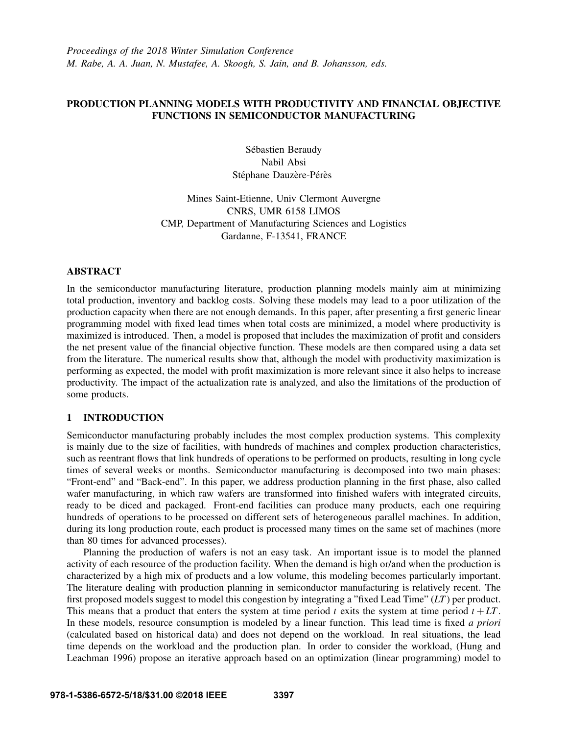*Proceedings of the 2018 Winter Simulation Conference M. Rabe, A. A. Juan, N. Mustafee, A. Skoogh, S. Jain, and B. Johansson, eds.*

# PRODUCTION PLANNING MODELS WITH PRODUCTIVITY AND FINANCIAL OBJECTIVE FUNCTIONS IN SEMICONDUCTOR MANUFACTURING

Sébastien Beraudy Nabil Absi Stéphane Dauzère-Pérès

Mines Saint-Etienne, Univ Clermont Auvergne CNRS, UMR 6158 LIMOS CMP, Department of Manufacturing Sciences and Logistics Gardanne, F-13541, FRANCE

# ABSTRACT

In the semiconductor manufacturing literature, production planning models mainly aim at minimizing total production, inventory and backlog costs. Solving these models may lead to a poor utilization of the production capacity when there are not enough demands. In this paper, after presenting a first generic linear programming model with fixed lead times when total costs are minimized, a model where productivity is maximized is introduced. Then, a model is proposed that includes the maximization of profit and considers the net present value of the financial objective function. These models are then compared using a data set from the literature. The numerical results show that, although the model with productivity maximization is performing as expected, the model with profit maximization is more relevant since it also helps to increase productivity. The impact of the actualization rate is analyzed, and also the limitations of the production of some products.

# 1 INTRODUCTION

Semiconductor manufacturing probably includes the most complex production systems. This complexity is mainly due to the size of facilities, with hundreds of machines and complex production characteristics, such as reentrant flows that link hundreds of operations to be performed on products, resulting in long cycle times of several weeks or months. Semiconductor manufacturing is decomposed into two main phases: "Front-end" and "Back-end". In this paper, we address production planning in the first phase, also called wafer manufacturing, in which raw wafers are transformed into finished wafers with integrated circuits, ready to be diced and packaged. Front-end facilities can produce many products, each one requiring hundreds of operations to be processed on different sets of heterogeneous parallel machines. In addition, during its long production route, each product is processed many times on the same set of machines (more than 80 times for advanced processes).

Planning the production of wafers is not an easy task. An important issue is to model the planned activity of each resource of the production facility. When the demand is high or/and when the production is characterized by a high mix of products and a low volume, this modeling becomes particularly important. The literature dealing with production planning in semiconductor manufacturing is relatively recent. The first proposed models suggest to model this congestion by integrating a "fixed Lead Time" (*LT*) per product. This means that a product that enters the system at time period  $t$  exits the system at time period  $t + LT$ . In these models, resource consumption is modeled by a linear function. This lead time is fixed *a priori* (calculated based on historical data) and does not depend on the workload. In real situations, the lead time depends on the workload and the production plan. In order to consider the workload, (Hung and Leachman 1996) propose an iterative approach based on an optimization (linear programming) model to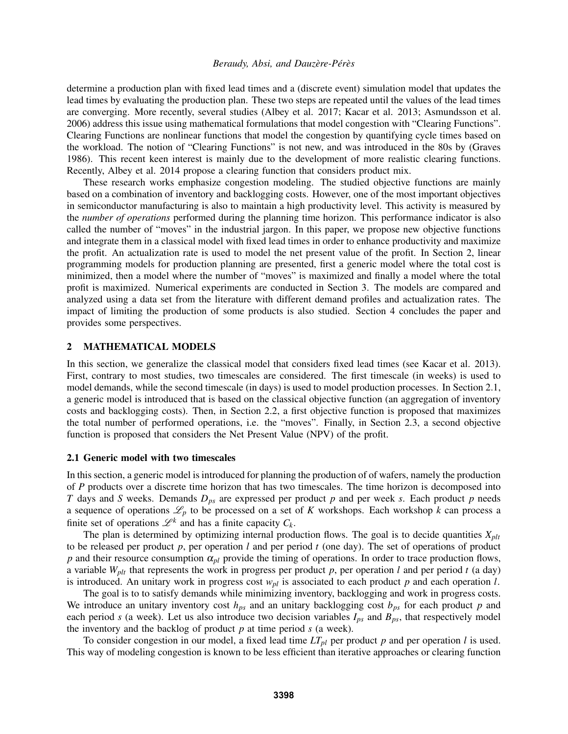determine a production plan with fixed lead times and a (discrete event) simulation model that updates the lead times by evaluating the production plan. These two steps are repeated until the values of the lead times are converging. More recently, several studies (Albey et al. 2017; Kacar et al. 2013; Asmundsson et al. 2006) address this issue using mathematical formulations that model congestion with "Clearing Functions". Clearing Functions are nonlinear functions that model the congestion by quantifying cycle times based on the workload. The notion of "Clearing Functions" is not new, and was introduced in the 80s by (Graves 1986). This recent keen interest is mainly due to the development of more realistic clearing functions. Recently, Albey et al. 2014 propose a clearing function that considers product mix.

These research works emphasize congestion modeling. The studied objective functions are mainly based on a combination of inventory and backlogging costs. However, one of the most important objectives in semiconductor manufacturing is also to maintain a high productivity level. This activity is measured by the *number of operations* performed during the planning time horizon. This performance indicator is also called the number of "moves" in the industrial jargon. In this paper, we propose new objective functions and integrate them in a classical model with fixed lead times in order to enhance productivity and maximize the profit. An actualization rate is used to model the net present value of the profit. In Section 2, linear programming models for production planning are presented, first a generic model where the total cost is minimized, then a model where the number of "moves" is maximized and finally a model where the total profit is maximized. Numerical experiments are conducted in Section 3. The models are compared and analyzed using a data set from the literature with different demand profiles and actualization rates. The impact of limiting the production of some products is also studied. Section 4 concludes the paper and provides some perspectives.

### 2 MATHEMATICAL MODELS

In this section, we generalize the classical model that considers fixed lead times (see Kacar et al. 2013). First, contrary to most studies, two timescales are considered. The first timescale (in weeks) is used to model demands, while the second timescale (in days) is used to model production processes. In Section 2.1, a generic model is introduced that is based on the classical objective function (an aggregation of inventory costs and backlogging costs). Then, in Section 2.2, a first objective function is proposed that maximizes the total number of performed operations, i.e. the "moves". Finally, in Section 2.3, a second objective function is proposed that considers the Net Present Value (NPV) of the profit.

## 2.1 Generic model with two timescales

In this section, a generic model is introduced for planning the production of of wafers, namely the production of *P* products over a discrete time horizon that has two timescales. The time horizon is decomposed into *T* days and *S* weeks. Demands *Dps* are expressed per product *p* and per week *s*. Each product *p* needs a sequence of operations  $\mathcal{L}_p$  to be processed on a set of *K* workshops. Each workshop *k* can process a finite set of operations  $\mathcal{L}^k$  and has a finite capacity  $C_k$ .

The plan is determined by optimizing internal production flows. The goal is to decide quantities  $X_{plt}$ to be released per product *p*, per operation *l* and per period *t* (one day). The set of operations of product *p* and their resource consumption  $\alpha_{pl}$  provide the timing of operations. In order to trace production flows, a variable *Wplt* that represents the work in progress per product *p*, per operation *l* and per period *t* (a day) is introduced. An unitary work in progress cost *wpl* is associated to each product *p* and each operation *l*.

The goal is to to satisfy demands while minimizing inventory, backlogging and work in progress costs. We introduce an unitary inventory cost  $h_{ps}$  and an unitary backlogging cost  $b_{ps}$  for each product  $p$  and each period *s* (a week). Let us also introduce two decision variables  $I_{ps}$  and  $B_{ps}$ , that respectively model the inventory and the backlog of product *p* at time period *s* (a week).

To consider congestion in our model, a fixed lead time  $LT_{pl}$  per product  $p$  and per operation  $l$  is used. This way of modeling congestion is known to be less efficient than iterative approaches or clearing function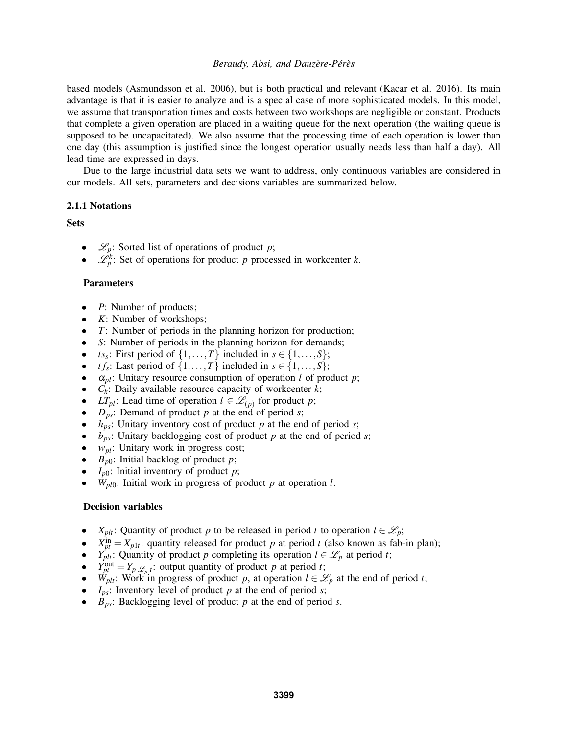based models (Asmundsson et al. 2006), but is both practical and relevant (Kacar et al. 2016). Its main advantage is that it is easier to analyze and is a special case of more sophisticated models. In this model, we assume that transportation times and costs between two workshops are negligible or constant. Products that complete a given operation are placed in a waiting queue for the next operation (the waiting queue is supposed to be uncapacitated). We also assume that the processing time of each operation is lower than one day (this assumption is justified since the longest operation usually needs less than half a day). All lead time are expressed in days.

Due to the large industrial data sets we want to address, only continuous variables are considered in our models. All sets, parameters and decisions variables are summarized below.

### 2.1.1 Notations

#### Sets

- $\mathscr{L}_p$ : Sorted list of operations of product *p*;
- $\mathcal{L}_p^k$ : Set of operations for product *p* processed in workcenter *k*.

#### Parameters

- *P*: Number of products;
- *K*: Number of workshops;
- *T*: Number of periods in the planning horizon for production;
- *S*: Number of periods in the planning horizon for demands;
- *ts*<sub>*s*</sub>: First period of  $\{1, \ldots, T\}$  included in  $s \in \{1, \ldots, S\}$ ;
- *tf<sub>s</sub>*: Last period of  $\{1, \ldots, T\}$  included in  $s \in \{1, \ldots, S\}$ ;
- α*pl*: Unitary resource consumption of operation *l* of product *p*;
- $C_k$ : Daily available resource capacity of workcenter  $k$ ;
- *LT*<sub>*pl*</sub>: Lead time of operation  $l \in \mathcal{L}_{(p)}$  for product *p*;
- *Dps*: Demand of product *p* at the end of period *s*;
- *hps*: Unitary inventory cost of product *p* at the end of period *s*;
- *bps*: Unitary backlogging cost of product *p* at the end of period *s*;
- *wpl*: Unitary work in progress cost;
- $B_{p0}$ : Initial backlog of product *p*;
- $I_{p0}$ : Initial inventory of product *p*;
- *Wpl*0: Initial work in progress of product *p* at operation *l*.

## Decision variables

- $X_{plt}$ : Quantity of product *p* to be released in period *t* to operation  $l \in \mathcal{L}_p$ ;
- $X_{pt}^{in} = X_{p1t}$ : quantity released for product *p* at period *t* (also known as fab-in plan);
- *Y*<sub>*plt*</sub>: Quantity of product *p* completing its operation  $l \in \mathcal{L}_p$  at period *t*;
- $\dot{Y}_{pt}^{\text{out}} = Y_{p|\mathscr{L}_p|t}$ : output quantity of product *p* at period *t*;
- *W*<sub>plt</sub>: Work in progress of product *p*, at operation  $l \in \mathcal{L}_p$  at the end of period *t*;
- *Ips*: Inventory level of product *p* at the end of period *s*;
- *Bps*: Backlogging level of product *p* at the end of period *s*.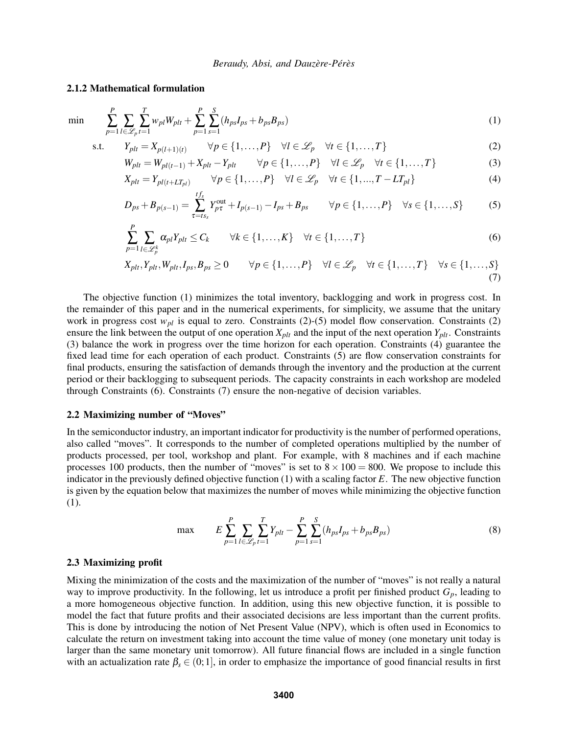#### 2.1.2 Mathematical formulation

$$
\min
$$

$$
\sum_{p=1}^{P} \sum_{l \in \mathcal{L}_p} \sum_{t=1}^{T} w_{pl} W_{plt} + \sum_{p=1}^{P} \sum_{s=1}^{S} (h_{ps} I_{ps} + b_{ps} B_{ps})
$$
\n(1)

$$
\text{s.t.} \qquad Y_{plt} = X_{p(l+1)(t)} \qquad \forall p \in \{1, \dots, P\} \quad \forall l \in \mathcal{L}_p \quad \forall t \in \{1, \dots, T\} \tag{2}
$$

$$
W_{plt} = W_{pl(t-1)} + X_{plt} - Y_{plt} \qquad \forall p \in \{1, ..., P\} \quad \forall l \in \mathcal{L}_p \quad \forall t \in \{1, ..., T\}
$$
 (3)

$$
X_{plt} = Y_{pl(t+LT_{pl})} \qquad \forall p \in \{1, \dots, P\} \quad \forall l \in \mathcal{L}_p \quad \forall t \in \{1, \dots, T-LT_{pl}\}
$$
 (4)

$$
D_{ps} + B_{p(s-1)} = \sum_{\tau = ts_s}^{tf_s} Y_{p\tau}^{\text{out}} + I_{p(s-1)} - I_{ps} + B_{ps} \qquad \forall p \in \{1, ..., P\} \quad \forall s \in \{1, ..., S\}
$$
 (5)

$$
\sum_{p=1}^{P} \sum_{l \in \mathcal{L}_p^k} \alpha_{pl} Y_{plt} \leq C_k \qquad \forall k \in \{1, \dots, K\} \quad \forall t \in \{1, \dots, T\}
$$
\n
$$
(6)
$$

$$
X_{plt}, Y_{plt}, W_{plt}, I_{ps}, B_{ps} \ge 0 \qquad \forall p \in \{1, \dots, P\} \quad \forall l \in \mathcal{L}_p \quad \forall t \in \{1, \dots, T\} \quad \forall s \in \{1, \dots, S\}
$$
\n(7)

The objective function (1) minimizes the total inventory, backlogging and work in progress cost. In the remainder of this paper and in the numerical experiments, for simplicity, we assume that the unitary work in progress cost  $w_{pl}$  is equal to zero. Constraints (2)-(5) model flow conservation. Constraints (2) ensure the link between the output of one operation  $X_{plt}$  and the input of the next operation  $Y_{plt}$ . Constraints (3) balance the work in progress over the time horizon for each operation. Constraints (4) guarantee the fixed lead time for each operation of each product. Constraints (5) are flow conservation constraints for final products, ensuring the satisfaction of demands through the inventory and the production at the current period or their backlogging to subsequent periods. The capacity constraints in each workshop are modeled through Constraints (6). Constraints (7) ensure the non-negative of decision variables.

## 2.2 Maximizing number of "Moves"

In the semiconductor industry, an important indicator for productivity is the number of performed operations, also called "moves". It corresponds to the number of completed operations multiplied by the number of products processed, per tool, workshop and plant. For example, with 8 machines and if each machine processes 100 products, then the number of "moves" is set to  $8 \times 100 = 800$ . We propose to include this indicator in the previously defined objective function (1) with a scaling factor *E*. The new objective function is given by the equation below that maximizes the number of moves while minimizing the objective function (1).

max 
$$
E \sum_{p=1}^{P} \sum_{l \in \mathcal{L}_p} \sum_{t=1}^{T} Y_{plt} - \sum_{p=1}^{P} \sum_{s=1}^{S} (h_{ps} I_{ps} + b_{ps} B_{ps})
$$
 (8)

## 2.3 Maximizing profit

Mixing the minimization of the costs and the maximization of the number of "moves" is not really a natural way to improve productivity. In the following, let us introduce a profit per finished product  $G_p$ , leading to a more homogeneous objective function. In addition, using this new objective function, it is possible to model the fact that future profits and their associated decisions are less important than the current profits. This is done by introducing the notion of Net Present Value (NPV), which is often used in Economics to calculate the return on investment taking into account the time value of money (one monetary unit today is larger than the same monetary unit tomorrow). All future financial flows are included in a single function with an actualization rate  $\beta_s \in (0, 1]$ , in order to emphasize the importance of good financial results in first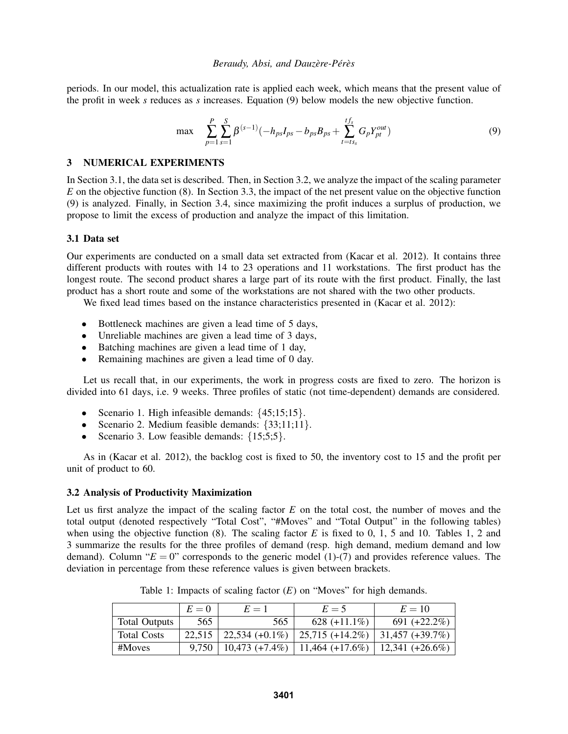periods. In our model, this actualization rate is applied each week, which means that the present value of the profit in week *s* reduces as *s* increases. Equation (9) below models the new objective function.

$$
\max \sum_{p=1}^{P} \sum_{s=1}^{S} \beta^{(s-1)}(-h_{ps}I_{ps} - b_{ps}B_{ps} + \sum_{t=ts_s}^{tf_s} G_p Y_{pt}^{out})
$$
\n(9)

## 3 NUMERICAL EXPERIMENTS

In Section 3.1, the data set is described. Then, in Section 3.2, we analyze the impact of the scaling parameter *E* on the objective function (8). In Section 3.3, the impact of the net present value on the objective function (9) is analyzed. Finally, in Section 3.4, since maximizing the profit induces a surplus of production, we propose to limit the excess of production and analyze the impact of this limitation.

## 3.1 Data set

Our experiments are conducted on a small data set extracted from (Kacar et al. 2012). It contains three different products with routes with 14 to 23 operations and 11 workstations. The first product has the longest route. The second product shares a large part of its route with the first product. Finally, the last product has a short route and some of the workstations are not shared with the two other products.

We fixed lead times based on the instance characteristics presented in (Kacar et al. 2012):

- Bottleneck machines are given a lead time of 5 days,
- Unreliable machines are given a lead time of 3 days,
- Batching machines are given a lead time of 1 day,
- Remaining machines are given a lead time of 0 day.

Let us recall that, in our experiments, the work in progress costs are fixed to zero. The horizon is divided into 61 days, i.e. 9 weeks. Three profiles of static (not time-dependent) demands are considered.

- Scenario 1. High infeasible demands:  $\{45;15;15\}$ .
- Scenario 2. Medium feasible demands:  $\{33;11;11\}$ .
- Scenario 3. Low feasible demands:  $\{15:5:5\}$ .

As in (Kacar et al. 2012), the backlog cost is fixed to 50, the inventory cost to 15 and the profit per unit of product to 60.

#### 3.2 Analysis of Productivity Maximization

Let us first analyze the impact of the scaling factor *E* on the total cost, the number of moves and the total output (denoted respectively "Total Cost", "#Moves" and "Total Output" in the following tables) when using the objective function  $(8)$ . The scaling factor *E* is fixed to 0, 1, 5 and 10. Tables 1, 2 and 3 summarize the results for the three profiles of demand (resp. high demand, medium demand and low demand). Column " $E = 0$ " corresponds to the generic model (1)-(7) and provides reference values. The deviation in percentage from these reference values is given between brackets.

|                      | $E=0$  | $E=1$             | $E=5$                                                | $E=10$             |  |
|----------------------|--------|-------------------|------------------------------------------------------|--------------------|--|
| <b>Total Outputs</b> | 565    | 565               | 628 $(+11.1\%)$                                      | 691 $(+22.2\%)$    |  |
| <b>Total Costs</b>   | 22.515 | 22,534 $(+0.1\%)$ | $\vert$ 25,715 (+14.2%)                              | $ 31,457 (+39.7%)$ |  |
| #Moves               | 9.750  |                   | $10,473$ (+7.4%)   11,464 (+17.6%)   12,341 (+26.6%) |                    |  |

Table 1: Impacts of scaling factor  $(E)$  on "Moves" for high demands.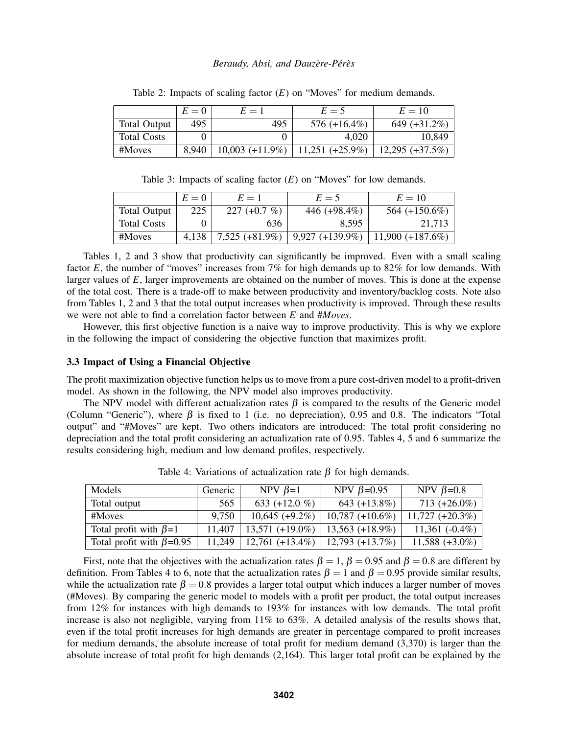|                     | $E=0$ | $E=1$             | $E=5$             | $E=10$            |
|---------------------|-------|-------------------|-------------------|-------------------|
| <b>Total Output</b> | 495   | 495               | 576 $(+16.4\%)$   | 649 $(+31.2\%)$   |
| <b>Total Costs</b>  |       |                   | 4.020             | 10.849            |
| $#M$ oves           | 8.940 | $10,003 (+11.9%)$ | $11,251 (+25.9%)$ | $12,295 (+37.5%)$ |

Table 2: Impacts of scaling factor (*E*) on "Moves" for medium demands.

Table 3: Impacts of scaling factor  $(E)$  on "Moves" for low demands.

|                     | $E=0$ | $E=1$             | $E=5$              | $E=10$             |  |
|---------------------|-------|-------------------|--------------------|--------------------|--|
| <b>Total Output</b> | 225   | $227 (+0.7 %)$    | 446 $(+98.4\%)$    | 564 $(+150.6\%)$   |  |
| <b>Total Costs</b>  |       | 636               | 8.595              | 21.713             |  |
| #Moves              | 4.138 | $7,525 (+81.9\%)$ | $9,927 (+139.9\%)$ | $11,900 (+187.6%)$ |  |

Tables 1, 2 and 3 show that productivity can significantly be improved. Even with a small scaling factor *E*, the number of "moves" increases from 7% for high demands up to 82% for low demands. With larger values of *E*, larger improvements are obtained on the number of moves. This is done at the expense of the total cost. There is a trade-off to make between productivity and inventory/backlog costs. Note also from Tables 1, 2 and 3 that the total output increases when productivity is improved. Through these results we were not able to find a correlation factor between *E* and #*Moves*.

However, this first objective function is a naive way to improve productivity. This is why we explore in the following the impact of considering the objective function that maximizes profit.

### 3.3 Impact of Using a Financial Objective

The profit maximization objective function helps us to move from a pure cost-driven model to a profit-driven model. As shown in the following, the NPV model also improves productivity.

The NPV model with different actualization rates  $\beta$  is compared to the results of the Generic model (Column "Generic"), where  $\beta$  is fixed to 1 (i.e. no depreciation), 0.95 and 0.8. The indicators "Total output" and "#Moves" are kept. Two others indicators are introduced: The total profit considering no depreciation and the total profit considering an actualization rate of 0.95. Tables 4, 5 and 6 summarize the results considering high, medium and low demand profiles, respectively.

| Models                          | Generic | NPV $\beta=1$      | NPV $\beta$ =0.95  | NPV $\beta$ =0.8  |
|---------------------------------|---------|--------------------|--------------------|-------------------|
| Total output                    | 565     | 633 $(+12.0\%)$    | 643 $(+13.8\%)$    | $713 (+26.0\%)$   |
| #Moves                          | 9,750   | $10,645 (+9.2\%)$  | $10,787 (+10.6\%)$ | $11,727 (+20.3%)$ |
| Total profit with $\beta=1$     | 11,407  | $13,571 (+19.0\%)$ | $13,563 (+18.9%)$  | 11,361 $(-0.4\%)$ |
| Total profit with $\beta$ =0.95 | 11,249  | $12,761 (+13.4\%)$ | $12,793 (+13.7%)$  | $11,588 (+3.0\%)$ |

Table 4: Variations of actualization rate  $\beta$  for high demands.

First, note that the objectives with the actualization rates  $\beta = 1$ ,  $\beta = 0.95$  and  $\beta = 0.8$  are different by definition. From Tables 4 to 6, note that the actualization rates  $\beta = 1$  and  $\beta = 0.95$  provide similar results, while the actualization rate  $\beta = 0.8$  provides a larger total output which induces a larger number of moves (#Moves). By comparing the generic model to models with a profit per product, the total output increases from 12% for instances with high demands to 193% for instances with low demands. The total profit increase is also not negligible, varying from 11% to 63%. A detailed analysis of the results shows that, even if the total profit increases for high demands are greater in percentage compared to profit increases for medium demands, the absolute increase of total profit for medium demand (3,370) is larger than the absolute increase of total profit for high demands (2,164). This larger total profit can be explained by the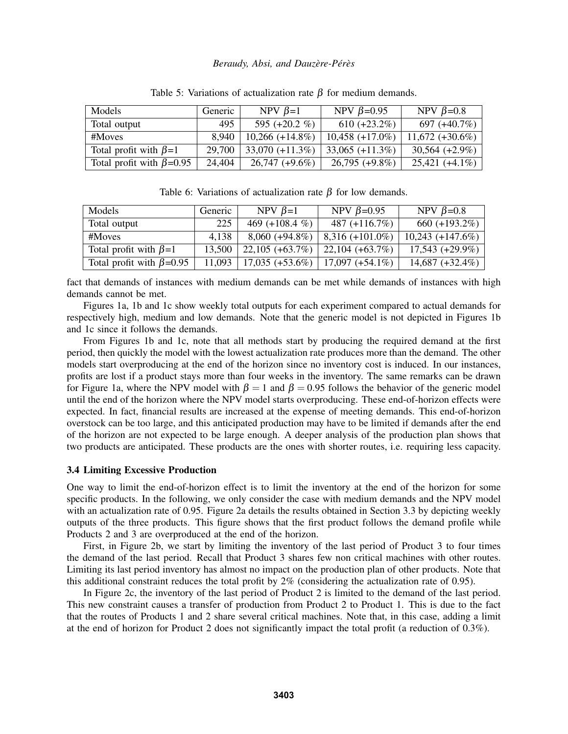| Models                          | Generic | NPV $\beta=1$      | NPV $\beta$ =0.95  | NPV $\beta$ =0.8   |
|---------------------------------|---------|--------------------|--------------------|--------------------|
| Total output                    | 495     | 595 $(+20.2\%)$    | $610 (+23.2\%)$    | 697 (+40.7%)       |
| #Moves                          | 8.940   | $10,266 (+14.8%)$  | $10,458 (+17.0\%)$ | $11,672 (+30.6\%)$ |
| Total profit with $\beta$ =1    | 29,700  | 33,070 $(+11.3\%)$ | $33,065 (+11.3\%)$ | $30,564 (+2.9\%)$  |
| Total profit with $\beta$ =0.95 | 24,404  | $26,747 (+9.6\%)$  | $26,795 (+9.8\%)$  | $25,421 (+4.1\%)$  |

Table 5: Variations of actualization rate  $\beta$  for medium demands.

|  |  |  | Table 6: Variations of actualization rate $\beta$ for low demands. |  |  |  |  |  |
|--|--|--|--------------------------------------------------------------------|--|--|--|--|--|
|--|--|--|--------------------------------------------------------------------|--|--|--|--|--|

| Models                          | Generic | NPV $\beta=1$     | NPV $\beta$ =0.95  | NPV $\beta$ =0.8   |
|---------------------------------|---------|-------------------|--------------------|--------------------|
| Total output                    | 225     | 469 (+108.4 $%$ ) | 487 (+116.7%)      | 660 $(+193.2\%)$   |
| #Moves                          | 4,138   | $8,060 (+94.8%)$  | $8,316 (+101.0\%)$ | $10,243 (+147.6%)$ |
| Total profit with $\beta=1$     | 13,500  | $22,105 (+63.7%)$ | $22,104 (+63.7%)$  | $17,543 (+29.9\%)$ |
| Total profit with $\beta$ =0.95 | 11,093  | $17,035 (+53.6%)$ | $17,097 (+54.1\%)$ | $14,687 (+32.4%)$  |

fact that demands of instances with medium demands can be met while demands of instances with high demands cannot be met.

Figures 1a, 1b and 1c show weekly total outputs for each experiment compared to actual demands for respectively high, medium and low demands. Note that the generic model is not depicted in Figures 1b and 1c since it follows the demands.

From Figures 1b and 1c, note that all methods start by producing the required demand at the first period, then quickly the model with the lowest actualization rate produces more than the demand. The other models start overproducing at the end of the horizon since no inventory cost is induced. In our instances, profits are lost if a product stays more than four weeks in the inventory. The same remarks can be drawn for Figure 1a, where the NPV model with  $\beta = 1$  and  $\beta = 0.95$  follows the behavior of the generic model until the end of the horizon where the NPV model starts overproducing. These end-of-horizon effects were expected. In fact, financial results are increased at the expense of meeting demands. This end-of-horizon overstock can be too large, and this anticipated production may have to be limited if demands after the end of the horizon are not expected to be large enough. A deeper analysis of the production plan shows that two products are anticipated. These products are the ones with shorter routes, i.e. requiring less capacity.

## 3.4 Limiting Excessive Production

One way to limit the end-of-horizon effect is to limit the inventory at the end of the horizon for some specific products. In the following, we only consider the case with medium demands and the NPV model with an actualization rate of 0.95. Figure 2a details the results obtained in Section 3.3 by depicting weekly outputs of the three products. This figure shows that the first product follows the demand profile while Products 2 and 3 are overproduced at the end of the horizon.

First, in Figure 2b, we start by limiting the inventory of the last period of Product 3 to four times the demand of the last period. Recall that Product 3 shares few non critical machines with other routes. Limiting its last period inventory has almost no impact on the production plan of other products. Note that this additional constraint reduces the total profit by 2% (considering the actualization rate of 0.95).

In Figure 2c, the inventory of the last period of Product 2 is limited to the demand of the last period. This new constraint causes a transfer of production from Product 2 to Product 1. This is due to the fact that the routes of Products 1 and 2 share several critical machines. Note that, in this case, adding a limit at the end of horizon for Product 2 does not significantly impact the total profit (a reduction of 0.3%).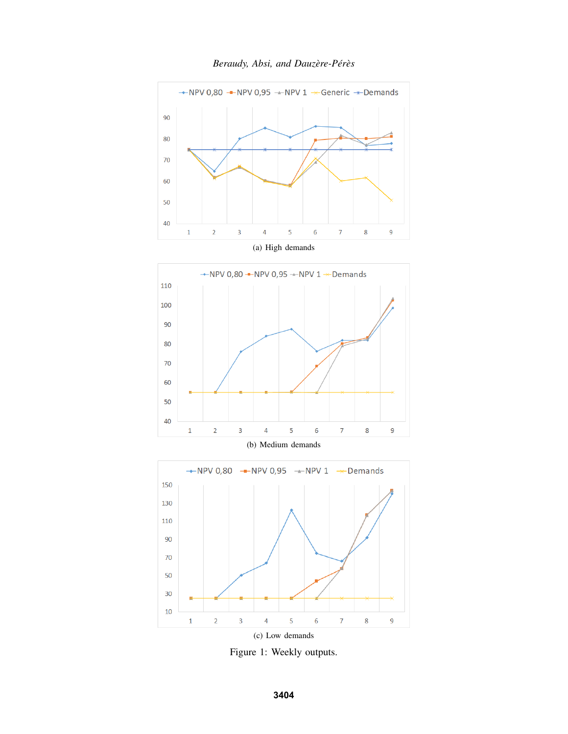



 $\rightarrow$  NPV 0,80 - NPV 0,95  $\rightarrow$  NPV 1  $\rightarrow$  Demands 150 130 110 90 70 50  $30$ 10  $\overline{2}$  $\overline{3}$  $\overline{4}$ 5  $\overline{6}$  $\bar{z}$  $\overline{9}$  $\mathbf 1$  $\boldsymbol{8}$ 

(c) Low demands

Figure 1: Weekly outputs.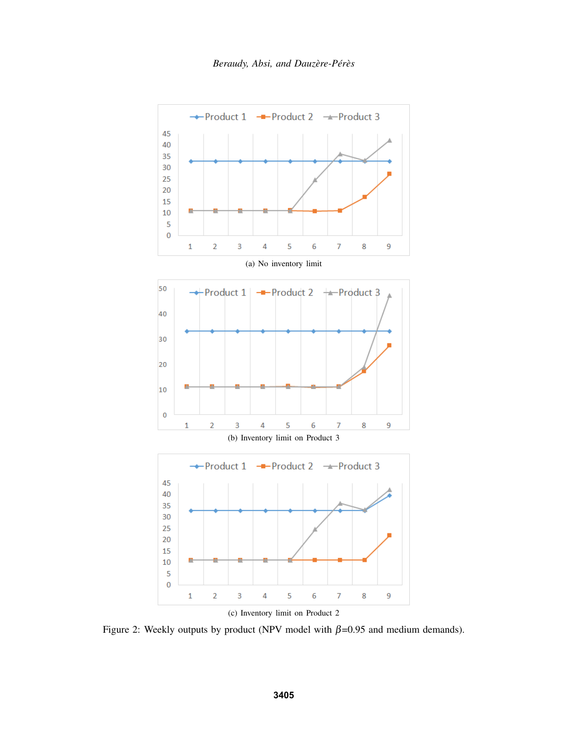

Figure 2: Weekly outputs by product (NPV model with  $\beta$ =0.95 and medium demands).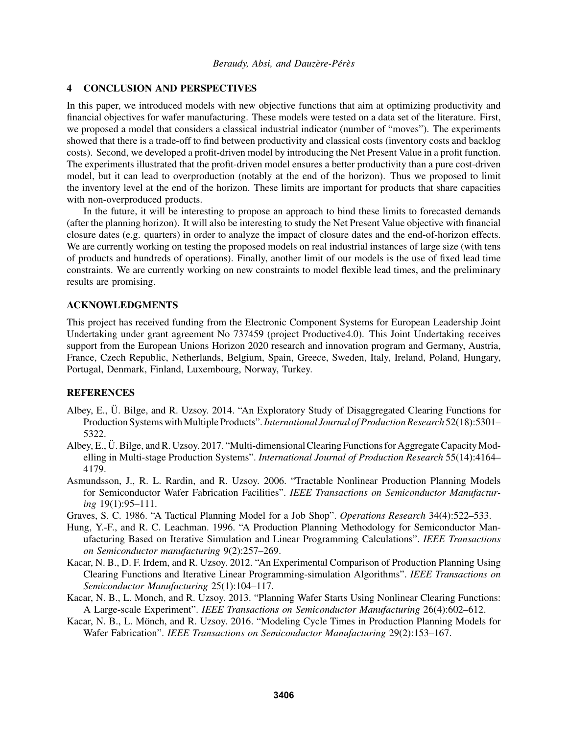## 4 CONCLUSION AND PERSPECTIVES

In this paper, we introduced models with new objective functions that aim at optimizing productivity and financial objectives for wafer manufacturing. These models were tested on a data set of the literature. First, we proposed a model that considers a classical industrial indicator (number of "moves"). The experiments showed that there is a trade-off to find between productivity and classical costs (inventory costs and backlog costs). Second, we developed a profit-driven model by introducing the Net Present Value in a profit function. The experiments illustrated that the profit-driven model ensures a better productivity than a pure cost-driven model, but it can lead to overproduction (notably at the end of the horizon). Thus we proposed to limit the inventory level at the end of the horizon. These limits are important for products that share capacities with non-overproduced products.

In the future, it will be interesting to propose an approach to bind these limits to forecasted demands (after the planning horizon). It will also be interesting to study the Net Present Value objective with financial closure dates (e.g. quarters) in order to analyze the impact of closure dates and the end-of-horizon effects. We are currently working on testing the proposed models on real industrial instances of large size (with tens of products and hundreds of operations). Finally, another limit of our models is the use of fixed lead time constraints. We are currently working on new constraints to model flexible lead times, and the preliminary results are promising.

# ACKNOWLEDGMENTS

This project has received funding from the Electronic Component Systems for European Leadership Joint Undertaking under grant agreement No 737459 (project Productive4.0). This Joint Undertaking receives support from the European Unions Horizon 2020 research and innovation program and Germany, Austria, France, Czech Republic, Netherlands, Belgium, Spain, Greece, Sweden, Italy, Ireland, Poland, Hungary, Portugal, Denmark, Finland, Luxembourg, Norway, Turkey.

# **REFERENCES**

- Albey, E., U. Bilge, and R. Uzsoy. 2014. "An Exploratory Study of Disaggregated Clearing Functions for ¨ Production Systems with Multiple Products". *International Journal of Production Research* 52(18):5301-5322.
- Albey, E., Ü. Bilge, and R. Uzsoy. 2017. "Multi-dimensional Clearing Functions for Aggregate Capacity Modelling in Multi-stage Production Systems". *International Journal of Production Research* 55(14):4164– 4179.
- Asmundsson, J., R. L. Rardin, and R. Uzsoy. 2006. "Tractable Nonlinear Production Planning Models for Semiconductor Wafer Fabrication Facilities". *IEEE Transactions on Semiconductor Manufacturing* 19(1):95–111.
- Graves, S. C. 1986. "A Tactical Planning Model for a Job Shop". *Operations Research* 34(4):522–533.
- Hung, Y.-F., and R. C. Leachman. 1996. "A Production Planning Methodology for Semiconductor Manufacturing Based on Iterative Simulation and Linear Programming Calculations". *IEEE Transactions on Semiconductor manufacturing* 9(2):257–269.
- Kacar, N. B., D. F. Irdem, and R. Uzsoy. 2012. "An Experimental Comparison of Production Planning Using Clearing Functions and Iterative Linear Programming-simulation Algorithms". *IEEE Transactions on Semiconductor Manufacturing* 25(1):104–117.
- Kacar, N. B., L. Monch, and R. Uzsoy. 2013. "Planning Wafer Starts Using Nonlinear Clearing Functions: A Large-scale Experiment". *IEEE Transactions on Semiconductor Manufacturing* 26(4):602–612.
- Kacar, N. B., L. Mönch, and R. Uzsoy. 2016. "Modeling Cycle Times in Production Planning Models for Wafer Fabrication". *IEEE Transactions on Semiconductor Manufacturing* 29(2):153–167.